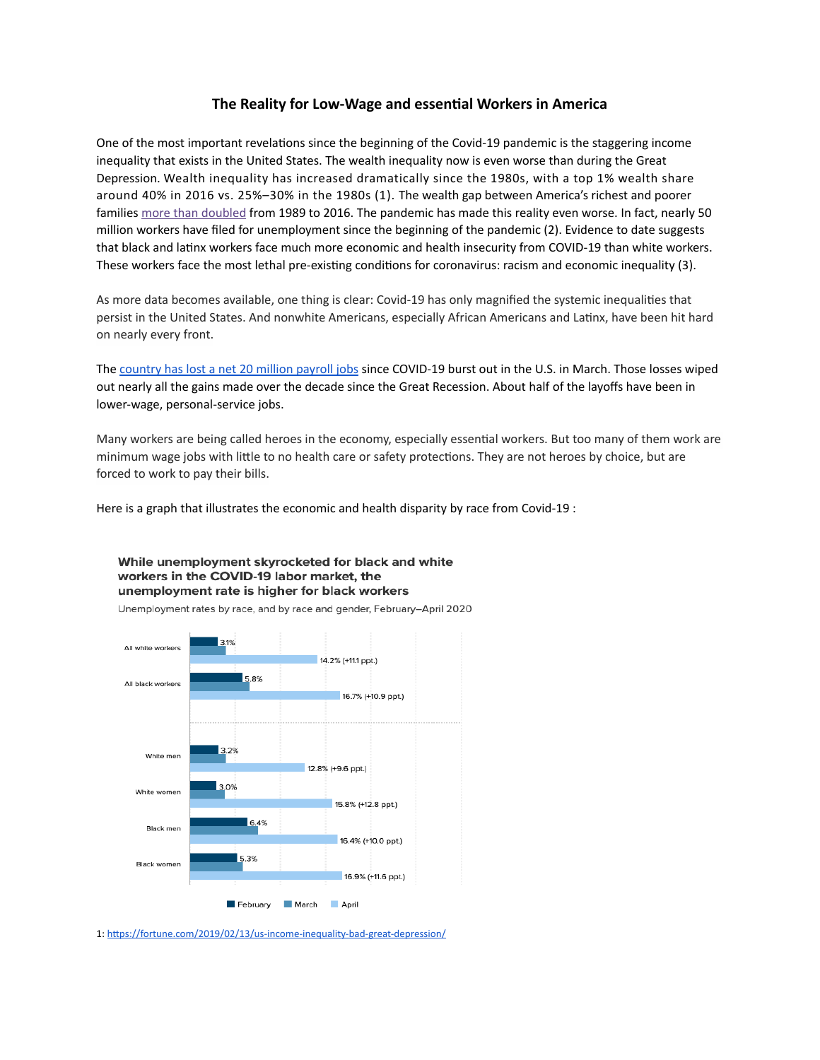# **The Reality for Low-Wage and essential Workers in America**

One of the most important revelations since the beginning of the Covid-19 pandemic is the staggering income inequality that exists in the United States. The wealth inequality now is even worse than during the Great Depression. Wealth inequality has increased dramatically since the 1980s, with a top 1% wealth share around 40% in 2016 vs. 25%–30% in the 1980s (1). The wealth gap between America's richest and poorer families [more than doubled](https://www.pewsocialtrends.org/2020/01/09/trends-in-income-and-wealth-inequality/) from 1989 to 2016. The pandemic has made this reality even worse. In fact, nearly 50 million workers have filed for unemployment since the beginning of the pandemic (2). Evidence to date suggests that black and latinx workers face much more economic and health insecurity from COVID-19 than white workers. These workers face the most lethal pre-existing conditions for coronavirus: racism and economic inequality (3).

As more data becomes available, one thing is clear: Covid-19 has only magnified the systemic inequalities that persist in the United States. And nonwhite Americans, especially African Americans and Latinx, have been hit hard on nearly every front.

The [country has lost a net 20 million payroll jobs](https://www.latimes.com/politics/story/2020-06-05/may-jobless-rate) since COVID-19 burst out in the U.S. in March. Those losses wiped out nearly all the gains made over the decade since the Great Recession. About half of the layoffs have been in lower-wage, personal-service jobs.

Many workers are being called heroes in the economy, especially essential workers. But too many of them work are minimum wage jobs with little to no health care or safety protections. They are not heroes by choice, but are forced to work to pay their bills.

Here is a graph that illustrates the economic and health disparity by race from Covid-19 :

While unemployment skyrocketed for black and white workers in the COVID-19 labor market, the unemployment rate is higher for black workers

Unemployment rates by race, and by race and gender, February-April 2020



1: https://fortune.com/2019/02/13/us-income-inequality-bad-great-depression/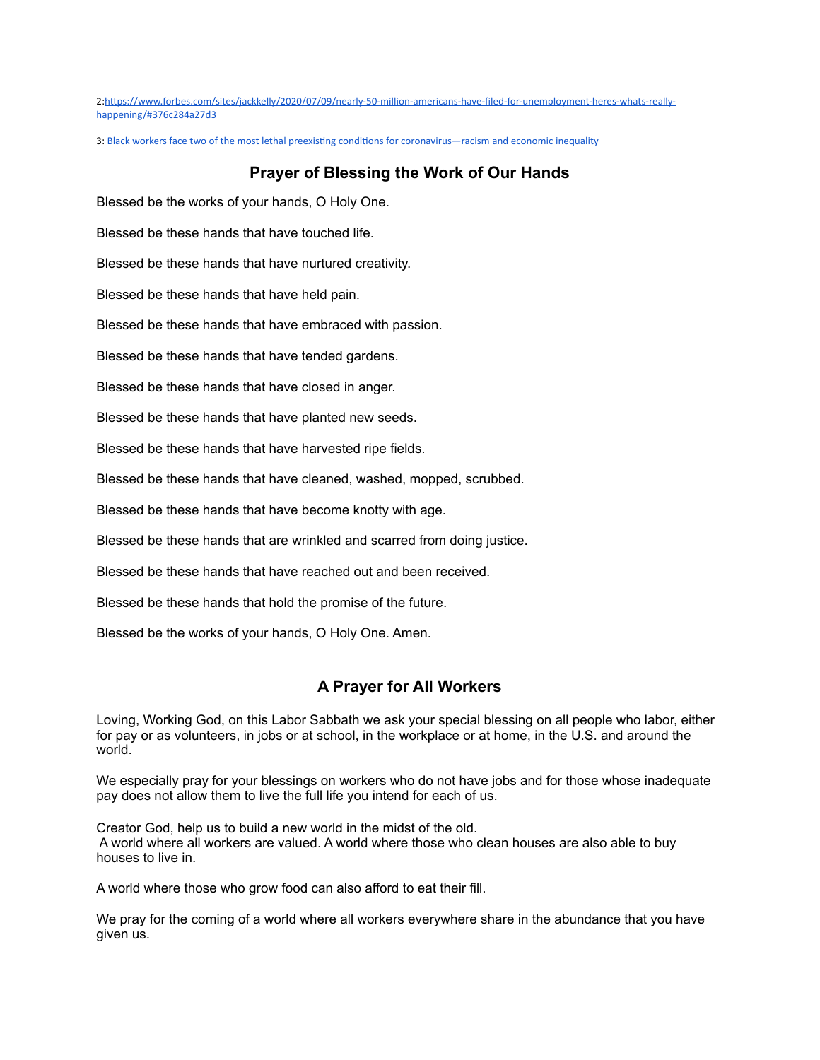2:https://www.forbes.com/sites/jackkelly/2020/07/09/nearly-50-million-americans-have-filed-for-unemployment-heres-whats-really[happening/#376c284a27d3](https://www.forbes.com/sites/jackkelly/2020/07/09/nearly-50-million-americans-have-filed-for-unemployment-heres-whats-really-happening/#376c284a27d3) 

3: Black workers face two of the most lethal preexisting conditions for coronavirus—racism and economic inequality

## **Prayer of Blessing the Work of Our Hands**

Blessed be the works of your hands, O Holy One.

Blessed be these hands that have touched life.

Blessed be these hands that have nurtured creativity.

Blessed be these hands that have held pain.

Blessed be these hands that have embraced with passion.

Blessed be these hands that have tended gardens.

Blessed be these hands that have closed in anger.

Blessed be these hands that have planted new seeds.

Blessed be these hands that have harvested ripe fields.

Blessed be these hands that have cleaned, washed, mopped, scrubbed.

Blessed be these hands that have become knotty with age.

Blessed be these hands that are wrinkled and scarred from doing justice.

Blessed be these hands that have reached out and been received.

Blessed be these hands that hold the promise of the future.

Blessed be the works of your hands, O Holy One. Amen.

## **A Prayer for All Workers**

Loving, Working God, on this Labor Sabbath we ask your special blessing on all people who labor, either for pay or as volunteers, in jobs or at school, in the workplace or at home, in the U.S. and around the world.

We especially pray for your blessings on workers who do not have jobs and for those whose inadequate pay does not allow them to live the full life you intend for each of us.

Creator God, help us to build a new world in the midst of the old. A world where all workers are valued. A world where those who clean houses are also able to buy houses to live in.

A world where those who grow food can also afford to eat their fill.

We pray for the coming of a world where all workers everywhere share in the abundance that you have given us.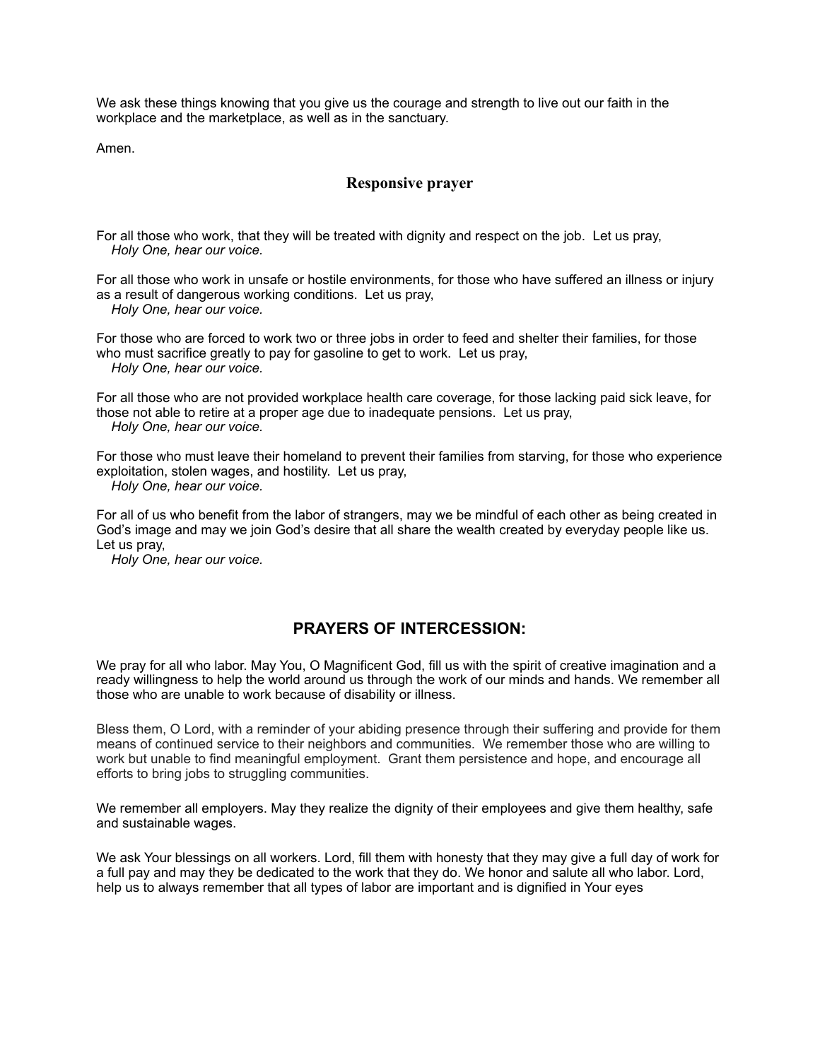We ask these things knowing that you give us the courage and strength to live out our faith in the workplace and the marketplace, as well as in the sanctuary.

Amen.

# **Responsive prayer**

For all those who work, that they will be treated with dignity and respect on the job. Let us pray,  *Holy One, hear our voice.*

For all those who work in unsafe or hostile environments, for those who have suffered an illness or injury as a result of dangerous working conditions. Let us pray,  *Holy One, hear our voice.*

For those who are forced to work two or three jobs in order to feed and shelter their families, for those who must sacrifice greatly to pay for gasoline to get to work. Let us pray,  *Holy One, hear our voice.*

For all those who are not provided workplace health care coverage, for those lacking paid sick leave, for those not able to retire at a proper age due to inadequate pensions. Let us pray,  *Holy One, hear our voice.*

For those who must leave their homeland to prevent their families from starving, for those who experience exploitation, stolen wages, and hostility. Let us pray,

 *Holy One, hear our voice.*

For all of us who benefit from the labor of strangers, may we be mindful of each other as being created in God's image and may we join God's desire that all share the wealth created by everyday people like us. Let us pray,

 *Holy One, hear our voice.*

# **PRAYERS OF INTERCESSION:**

We pray for all who labor. May You, O Magnificent God, fill us with the spirit of creative imagination and a ready willingness to help the world around us through the work of our minds and hands. We remember all those who are unable to work because of disability or illness.

Bless them, O Lord, with a reminder of your abiding presence through their suffering and provide for them means of continued service to their neighbors and communities. We remember those who are willing to work but unable to find meaningful employment. Grant them persistence and hope, and encourage all efforts to bring jobs to struggling communities.

We remember all employers. May they realize the dignity of their employees and give them healthy, safe and sustainable wages.

We ask Your blessings on all workers. Lord, fill them with honesty that they may give a full day of work for a full pay and may they be dedicated to the work that they do. We honor and salute all who labor. Lord, help us to always remember that all types of labor are important and is dignified in Your eyes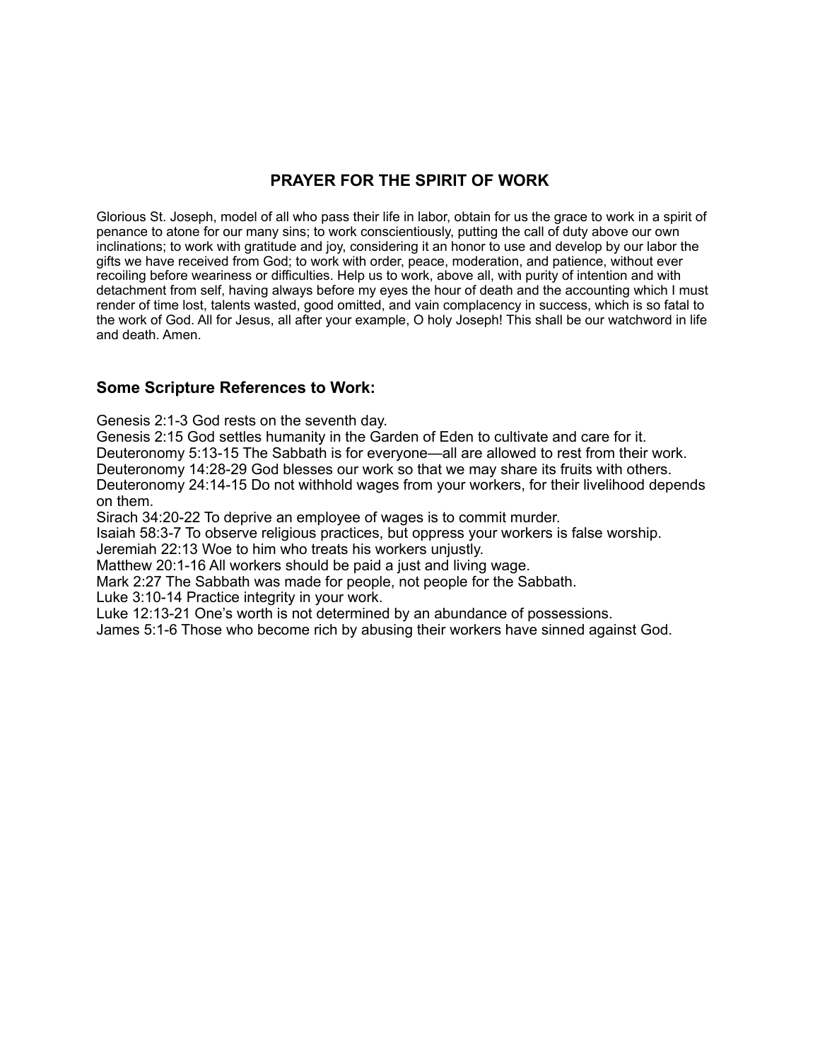# **PRAYER FOR THE SPIRIT OF WORK**

Glorious St. Joseph, model of all who pass their life in labor, obtain for us the grace to work in a spirit of penance to atone for our many sins; to work conscientiously, putting the call of duty above our own inclinations; to work with gratitude and joy, considering it an honor to use and develop by our labor the gifts we have received from God; to work with order, peace, moderation, and patience, without ever recoiling before weariness or difficulties. Help us to work, above all, with purity of intention and with detachment from self, having always before my eyes the hour of death and the accounting which I must render of time lost, talents wasted, good omitted, and vain complacency in success, which is so fatal to the work of God. All for Jesus, all after your example, O holy Joseph! This shall be our watchword in life and death. Amen.

# **Some Scripture References to Work:**

Genesis 2:1-3 God rests on the seventh day.

Genesis 2:15 God settles humanity in the Garden of Eden to cultivate and care for it.

Deuteronomy 5:13-15 The Sabbath is for everyone—all are allowed to rest from their work.

Deuteronomy 14:28-29 God blesses our work so that we may share its fruits with others.

Deuteronomy 24:14-15 Do not withhold wages from your workers, for their livelihood depends on them.

Sirach 34:20-22 To deprive an employee of wages is to commit murder.

Isaiah 58:3-7 To observe religious practices, but oppress your workers is false worship.

Jeremiah 22:13 Woe to him who treats his workers unjustly.

Matthew 20:1-16 All workers should be paid a just and living wage.

Mark 2:27 The Sabbath was made for people, not people for the Sabbath.

Luke 3:10-14 Practice integrity in your work.

Luke 12:13-21 One's worth is not determined by an abundance of possessions.

James 5:1-6 Those who become rich by abusing their workers have sinned against God.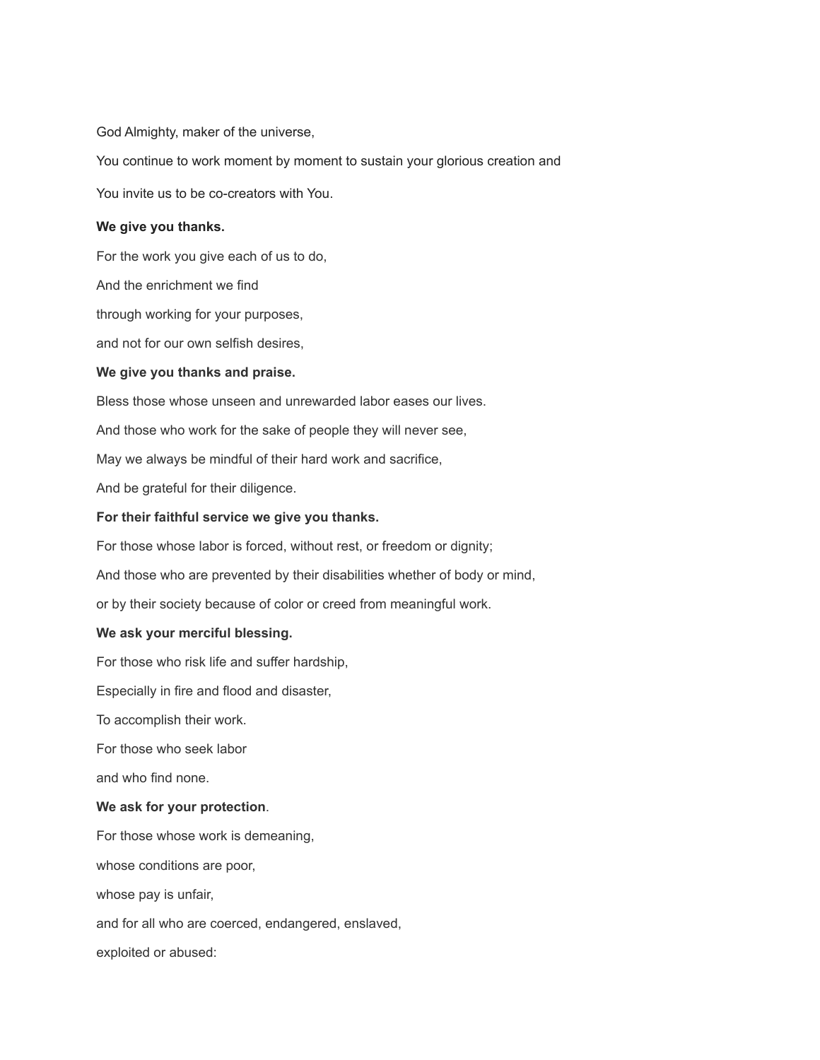God Almighty, maker of the universe,

You continue to work moment by moment to sustain your glorious creation and

You invite us to be co-creators with You.

#### **We give you thanks.**

For the work you give each of us to do,

And the enrichment we find

through working for your purposes,

and not for our own selfish desires,

#### **We give you thanks and praise.**

Bless those whose unseen and unrewarded labor eases our lives.

And those who work for the sake of people they will never see,

May we always be mindful of their hard work and sacrifice,

And be grateful for their diligence.

### **For their faithful service we give you thanks.**

For those whose labor is forced, without rest, or freedom or dignity;

And those who are prevented by their disabilities whether of body or mind,

or by their society because of color or creed from meaningful work.

#### **We ask your merciful blessing.**

For those who risk life and suffer hardship,

Especially in fire and flood and disaster,

To accomplish their work.

For those who seek labor

and who find none.

#### **We ask for your protection**.

For those whose work is demeaning, whose conditions are poor, whose pay is unfair, and for all who are coerced, endangered, enslaved, exploited or abused: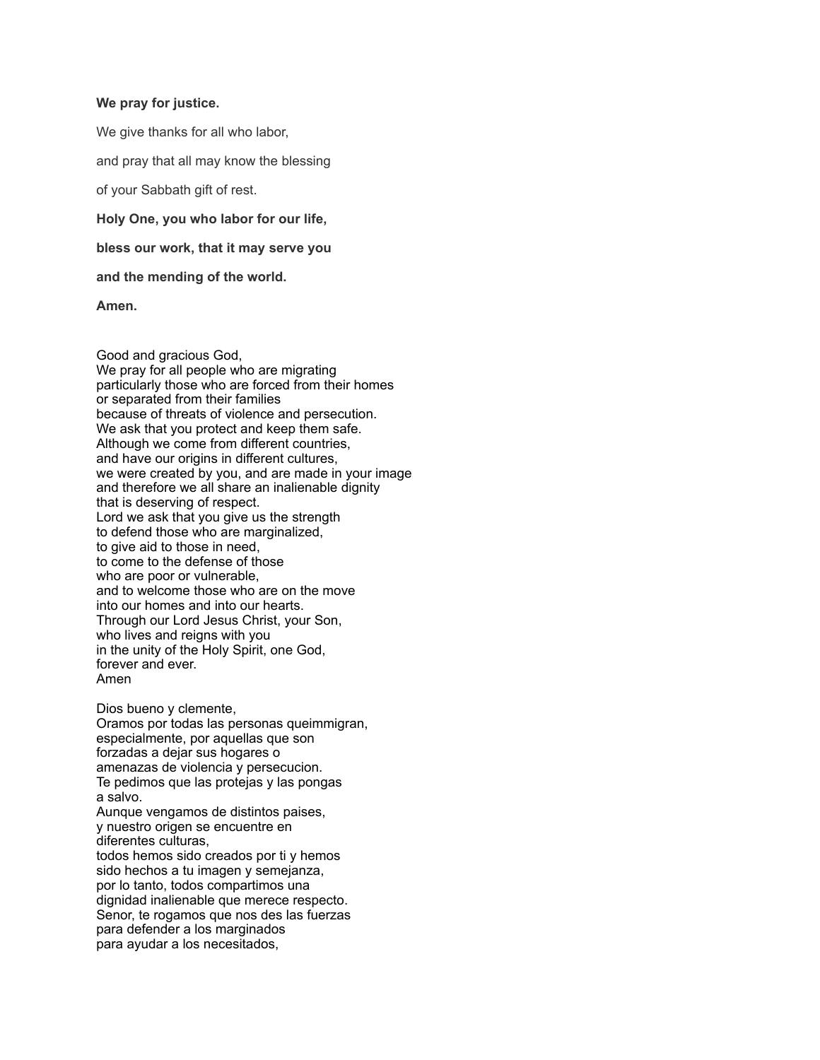#### **We pray for justice.**

We give thanks for all who labor,

and pray that all may know the blessing

of your Sabbath gift of rest.

**Holy One, you who labor for our life,**

**bless our work, that it may serve you**

**and the mending of the world.**

**Amen.**

Good and gracious God, We pray for all people who are migrating particularly those who are forced from their homes or separated from their families because of threats of violence and persecution. We ask that you protect and keep them safe. Although we come from different countries, and have our origins in different cultures, we were created by you, and are made in your image and therefore we all share an inalienable dignity that is deserving of respect. Lord we ask that you give us the strength to defend those who are marginalized, to give aid to those in need, to come to the defense of those who are poor or vulnerable, and to welcome those who are on the move into our homes and into our hearts. Through our Lord Jesus Christ, your Son, who lives and reigns with you in the unity of the Holy Spirit, one God, forever and ever. Amen

Dios bueno y clemente, Oramos por todas las personas queimmigran, especialmente, por aquellas que son forzadas a dejar sus hogares o amenazas de violencia y persecucion. Te pedimos que las protejas y las pongas a salvo. Aunque vengamos de distintos paises,

y nuestro origen se encuentre en diferentes culturas, todos hemos sido creados por ti y hemos sido hechos a tu imagen y semejanza,

por lo tanto, todos compartimos una dignidad inalienable que merece respecto. Senor, te rogamos que nos des las fuerzas para defender a los marginados para ayudar a los necesitados,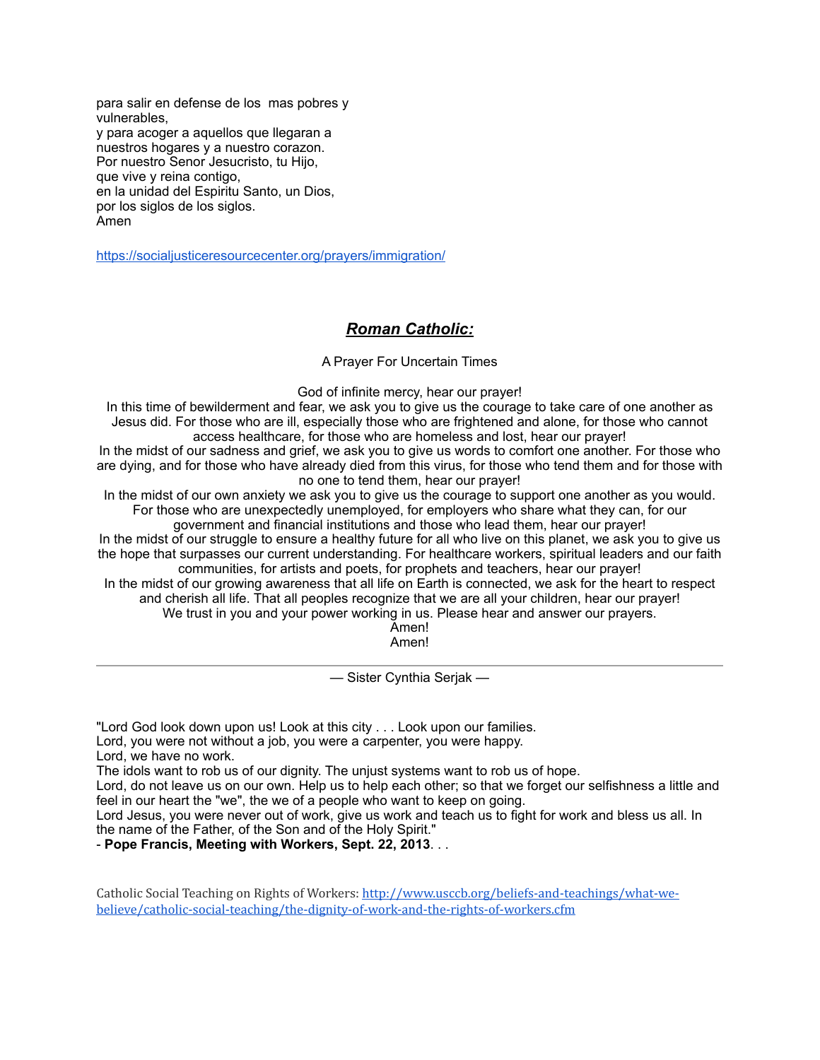para salir en defense de los mas pobres y vulnerables, y para acoger a aquellos que llegaran a nuestros hogares y a nuestro corazon. Por nuestro Senor Jesucristo, tu Hijo, que vive y reina contigo, en la unidad del Espiritu Santo, un Dios, por los siglos de los siglos. Amen

<https://socialjusticeresourcecenter.org/prayers/immigration/>

# *Roman Catholic:*

A Prayer For Uncertain Times

God of infinite mercy, hear our prayer!

In this time of bewilderment and fear, we ask you to give us the courage to take care of one another as Jesus did. For those who are ill, especially those who are frightened and alone, for those who cannot access healthcare, for those who are homeless and lost, hear our prayer!

In the midst of our sadness and grief, we ask you to give us words to comfort one another. For those who are dying, and for those who have already died from this virus, for those who tend them and for those with no one to tend them, hear our prayer!

In the midst of our own anxiety we ask you to give us the courage to support one another as you would. For those who are unexpectedly unemployed, for employers who share what they can, for our government and financial institutions and those who lead them, hear our prayer!

In the midst of our struggle to ensure a healthy future for all who live on this planet, we ask you to give us the hope that surpasses our current understanding. For healthcare workers, spiritual leaders and our faith communities, for artists and poets, for prophets and teachers, hear our prayer!

In the midst of our growing awareness that all life on Earth is connected, we ask for the heart to respect and cherish all life. That all peoples recognize that we are all your children, hear our prayer!

We trust in you and your power working in us. Please hear and answer our prayers.

Amen! Amen!

— Sister Cynthia Serjak —

"Lord God look down upon us! Look at this city . . . Look upon our families.

Lord, you were not without a job, you were a carpenter, you were happy.

Lord, we have no work.

The idols want to rob us of our dignity. The unjust systems want to rob us of hope.

Lord, do not leave us on our own. Help us to help each other; so that we forget our selfishness a little and feel in our heart the "we", the we of a people who want to keep on going.

Lord Jesus, you were never out of work, give us work and teach us to fight for work and bless us all. In the name of the Father, of the Son and of the Holy Spirit."

- **Pope Francis, Meeting with Workers, Sept. 22, 2013**. . .

Catholic Social Teaching on Rights of Workers: http://www.usccb.org/beliefs-and-teachings/what-we[believe/catholic-social-teaching/the-dignity-of-work-and-the-rights-of-workers.cfm](http://www.usccb.org/beliefs-and-teachings/what-we-believe/catholic-social-teaching/the-dignity-of-work-and-the-rights-of-workers.cfm)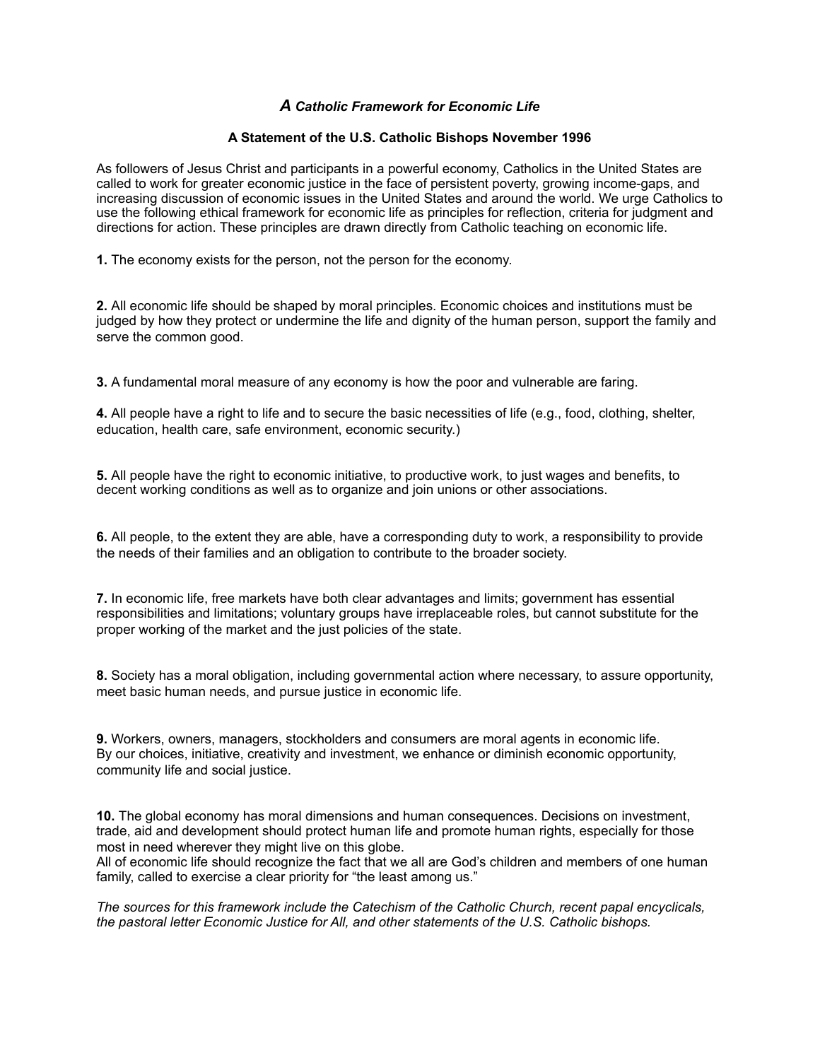# *A Catholic Framework for Economic Life*

## **A Statement of the U.S. Catholic Bishops November 1996**

As followers of Jesus Christ and participants in a powerful economy, Catholics in the United States are called to work for greater economic justice in the face of persistent poverty, growing income-gaps, and increasing discussion of economic issues in the United States and around the world. We urge Catholics to use the following ethical framework for economic life as principles for reflection, criteria for judgment and directions for action. These principles are drawn directly from Catholic teaching on economic life.

**1.** The economy exists for the person, not the person for the economy.

**2.** All economic life should be shaped by moral principles. Economic choices and institutions must be judged by how they protect or undermine the life and dignity of the human person, support the family and serve the common good.

**3.** A fundamental moral measure of any economy is how the poor and vulnerable are faring.

**4.** All people have a right to life and to secure the basic necessities of life (e.g., food, clothing, shelter, education, health care, safe environment, economic security.)

**5.** All people have the right to economic initiative, to productive work, to just wages and benefits, to decent working conditions as well as to organize and join unions or other associations.

**6.** All people, to the extent they are able, have a corresponding duty to work, a responsibility to provide the needs of their families and an obligation to contribute to the broader society.

**7.** In economic life, free markets have both clear advantages and limits; government has essential responsibilities and limitations; voluntary groups have irreplaceable roles, but cannot substitute for the proper working of the market and the just policies of the state.

**8.** Society has a moral obligation, including governmental action where necessary, to assure opportunity, meet basic human needs, and pursue justice in economic life.

**9.** Workers, owners, managers, stockholders and consumers are moral agents in economic life. By our choices, initiative, creativity and investment, we enhance or diminish economic opportunity, community life and social justice.

**10.** The global economy has moral dimensions and human consequences. Decisions on investment, trade, aid and development should protect human life and promote human rights, especially for those most in need wherever they might live on this globe.

All of economic life should recognize the fact that we all are God's children and members of one human family, called to exercise a clear priority for "the least among us."

*The sources for this framework include the Catechism of the Catholic Church, recent papal encyclicals, the pastoral letter Economic Justice for All, and other statements of the U.S. Catholic bishops.*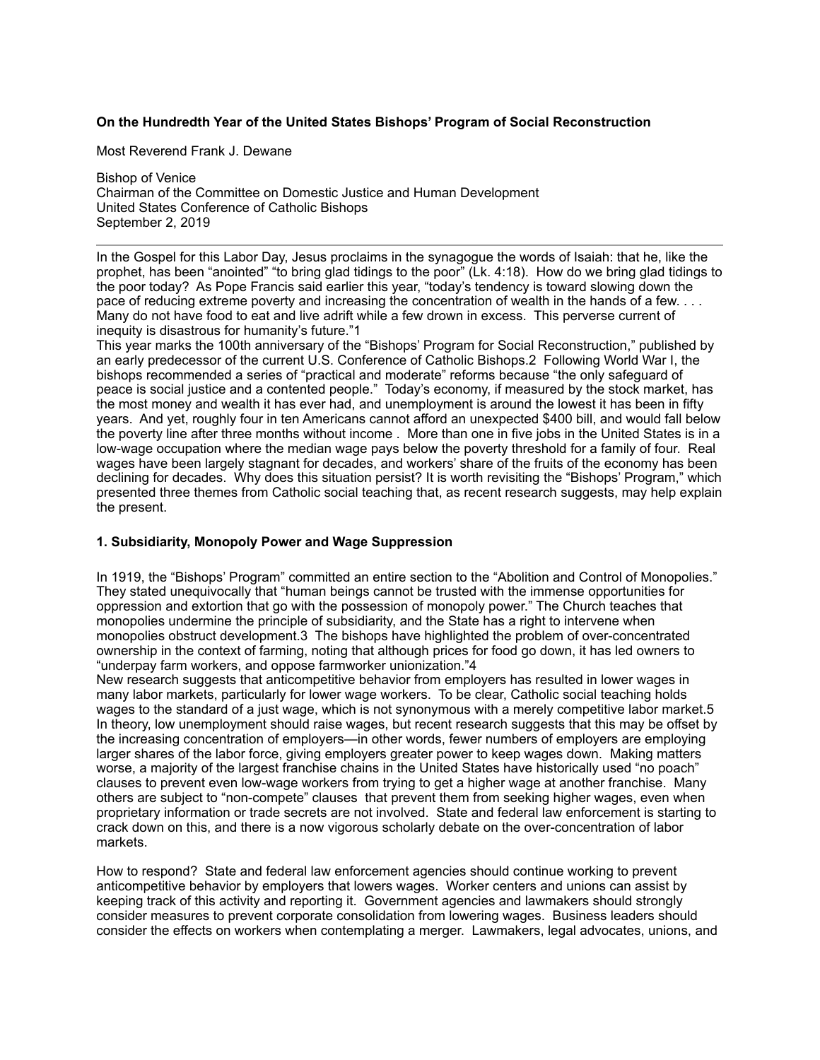## **On the Hundredth Year of the United States Bishops' Program of Social Reconstruction**

Most Reverend Frank J. Dewane

Bishop of Venice Chairman of the Committee on Domestic Justice and Human Development United States Conference of Catholic Bishops September 2, 2019

In the Gospel for this Labor Day, Jesus proclaims in the synagogue the words of Isaiah: that he, like the prophet, has been "anointed" "to bring glad tidings to the poor" (Lk. 4:18). How do we bring glad tidings to the poor today? As Pope Francis said earlier this year, "today's tendency is toward slowing down the pace of reducing extreme poverty and increasing the concentration of wealth in the hands of a few. . . . Many do not have food to eat and live adrift while a few drown in excess. This perverse current of inequity is disastrous for humanity's future."1

This year marks the 100th anniversary of the "Bishops' Program for Social Reconstruction," published by an early predecessor of the current U.S. Conference of Catholic Bishops.2 Following World War I, the bishops recommended a series of "practical and moderate" reforms because "the only safeguard of peace is social justice and a contented people." Today's economy, if measured by the stock market, has the most money and wealth it has ever had, and unemployment is around the lowest it has been in fifty years. And yet, roughly four in ten Americans cannot afford an unexpected \$400 bill, and would fall below the poverty line after three months without income . More than one in five jobs in the United States is in a low-wage occupation where the median wage pays below the poverty threshold for a family of four. Real wages have been largely stagnant for decades, and workers' share of the fruits of the economy has been declining for decades. Why does this situation persist? It is worth revisiting the "Bishops' Program," which presented three themes from Catholic social teaching that, as recent research suggests, may help explain the present.

### **1. Subsidiarity, Monopoly Power and Wage Suppression**

In 1919, the "Bishops' Program" committed an entire section to the "Abolition and Control of Monopolies." They stated unequivocally that "human beings cannot be trusted with the immense opportunities for oppression and extortion that go with the possession of monopoly power." The Church teaches that monopolies undermine the principle of subsidiarity, and the State has a right to intervene when monopolies obstruct development.3 The bishops have highlighted the problem of over-concentrated ownership in the context of farming, noting that although prices for food go down, it has led owners to "underpay farm workers, and oppose farmworker unionization."4

New research suggests that anticompetitive behavior from employers has resulted in lower wages in many labor markets, particularly for lower wage workers. To be clear, Catholic social teaching holds wages to the standard of a just wage, which is not synonymous with a merely competitive labor market.5 In theory, low unemployment should raise wages, but recent research suggests that this may be offset by the increasing concentration of employers—in other words, fewer numbers of employers are employing larger shares of the labor force, giving employers greater power to keep wages down. Making matters worse, a majority of the largest franchise chains in the United States have historically used "no poach" clauses to prevent even low-wage workers from trying to get a higher wage at another franchise. Many others are subject to "non-compete" clauses that prevent them from seeking higher wages, even when proprietary information or trade secrets are not involved. State and federal law enforcement is starting to crack down on this, and there is a now vigorous scholarly debate on the over-concentration of labor markets.

How to respond? State and federal law enforcement agencies should continue working to prevent anticompetitive behavior by employers that lowers wages. Worker centers and unions can assist by keeping track of this activity and reporting it. Government agencies and lawmakers should strongly consider measures to prevent corporate consolidation from lowering wages. Business leaders should consider the effects on workers when contemplating a merger. Lawmakers, legal advocates, unions, and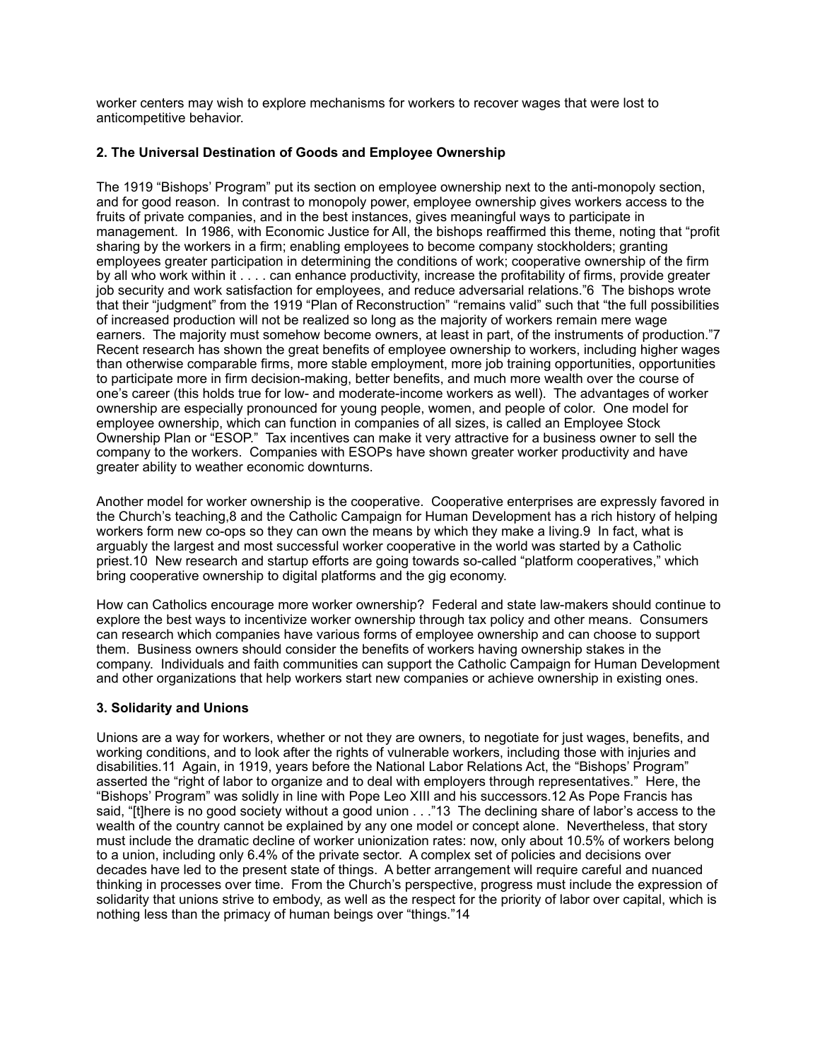worker centers may wish to explore mechanisms for workers to recover wages that were lost to anticompetitive behavior.

## **2. The Universal Destination of Goods and Employee Ownership**

The 1919 "Bishops' Program" put its section on employee ownership next to the anti-monopoly section, and for good reason. In contrast to monopoly power, employee ownership gives workers access to the fruits of private companies, and in the best instances, gives meaningful ways to participate in management. In 1986, with Economic Justice for All, the bishops reaffirmed this theme, noting that "profit sharing by the workers in a firm; enabling employees to become company stockholders; granting employees greater participation in determining the conditions of work; cooperative ownership of the firm by all who work within it . . . . can enhance productivity, increase the profitability of firms, provide greater job security and work satisfaction for employees, and reduce adversarial relations."6 The bishops wrote that their "judgment" from the 1919 "Plan of Reconstruction" "remains valid" such that "the full possibilities of increased production will not be realized so long as the majority of workers remain mere wage earners. The majority must somehow become owners, at least in part, of the instruments of production."7 Recent research has shown the great benefits of employee ownership to workers, including higher wages than otherwise comparable firms, more stable employment, more job training opportunities, opportunities to participate more in firm decision-making, better benefits, and much more wealth over the course of one's career (this holds true for low- and moderate-income workers as well). The advantages of worker ownership are especially pronounced for young people, women, and people of color. One model for employee ownership, which can function in companies of all sizes, is called an Employee Stock Ownership Plan or "ESOP." Tax incentives can make it very attractive for a business owner to sell the company to the workers. Companies with ESOPs have shown greater worker productivity and have greater ability to weather economic downturns.

Another model for worker ownership is the cooperative. Cooperative enterprises are expressly favored in the Church's teaching,8 and the Catholic Campaign for Human Development has a rich history of helping workers form new co-ops so they can own the means by which they make a living.9 In fact, what is arguably the largest and most successful worker cooperative in the world was started by a Catholic priest.10 New research and startup efforts are going towards so-called "platform cooperatives," which bring cooperative ownership to digital platforms and the gig economy.

How can Catholics encourage more worker ownership? Federal and state law-makers should continue to explore the best ways to incentivize worker ownership through tax policy and other means. Consumers can research which companies have various forms of employee ownership and can choose to support them. Business owners should consider the benefits of workers having ownership stakes in the company. Individuals and faith communities can support the Catholic Campaign for Human Development and other organizations that help workers start new companies or achieve ownership in existing ones.

# **3. Solidarity and Unions**

Unions are a way for workers, whether or not they are owners, to negotiate for just wages, benefits, and working conditions, and to look after the rights of vulnerable workers, including those with injuries and disabilities.11 Again, in 1919, years before the National Labor Relations Act, the "Bishops' Program" asserted the "right of labor to organize and to deal with employers through representatives." Here, the "Bishops' Program" was solidly in line with Pope Leo XIII and his successors.12 As Pope Francis has said, "[t]here is no good society without a good union . . ."13 The declining share of labor's access to the wealth of the country cannot be explained by any one model or concept alone. Nevertheless, that story must include the dramatic decline of worker unionization rates: now, only about 10.5% of workers belong to a union, including only 6.4% of the private sector. A complex set of policies and decisions over decades have led to the present state of things. A better arrangement will require careful and nuanced thinking in processes over time. From the Church's perspective, progress must include the expression of solidarity that unions strive to embody, as well as the respect for the priority of labor over capital, which is nothing less than the primacy of human beings over "things."14